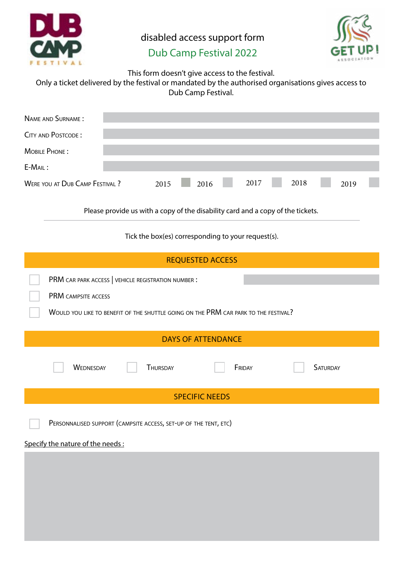

disabled access support form



## Dub Camp Festival 2022

This form doesn't give access to the festival.

| Only a ticket delivered by the festival or mandated by the authorised organisations gives access to |
|-----------------------------------------------------------------------------------------------------|
| Dub Camp Festival.                                                                                  |

| NAME AND SURNAME:                     |      |      |      |      |      |  |
|---------------------------------------|------|------|------|------|------|--|
| <b>CITY AND POSTCODE:</b>             |      |      |      |      |      |  |
| MOBILE PHONE:                         |      |      |      |      |      |  |
| $E-MAIL:$                             |      |      |      |      |      |  |
| <b>WERE YOU AT DUB CAMP FESTIVAL?</b> | 2015 | 2016 | 2017 | 2018 | 2019 |  |

Please provide us with a copy of the disability card and a copy of the tickets.

Tick the box(es) corresponding to your request(s).

| <b>REQUESTED ACCESS</b>                                                             |
|-------------------------------------------------------------------------------------|
| PRM CAR PARK ACCESS   VEHICLE REGISTRATION NUMBER :                                 |
| PRM CAMPSITE ACCESS                                                                 |
| WOULD YOU LIKE TO BENEFIT OF THE SHUTTLE GOING ON THE PRM CAR PARK TO THE FESTIVAL? |
| <b>DAYS OF ATTENDANCE</b>                                                           |
| <b>WEDNESDAY</b><br><b>THURSDAY</b><br>FRIDAY<br><b>SATURDAY</b>                    |
| <b>SPECIFIC NEEDS</b>                                                               |
| PERSONNALISED SUPPORT (CAMPSITE ACCESS, SET-UP OF THE TENT, ETC)                    |
| Specify the nature of the needs :                                                   |
|                                                                                     |
|                                                                                     |
|                                                                                     |
|                                                                                     |